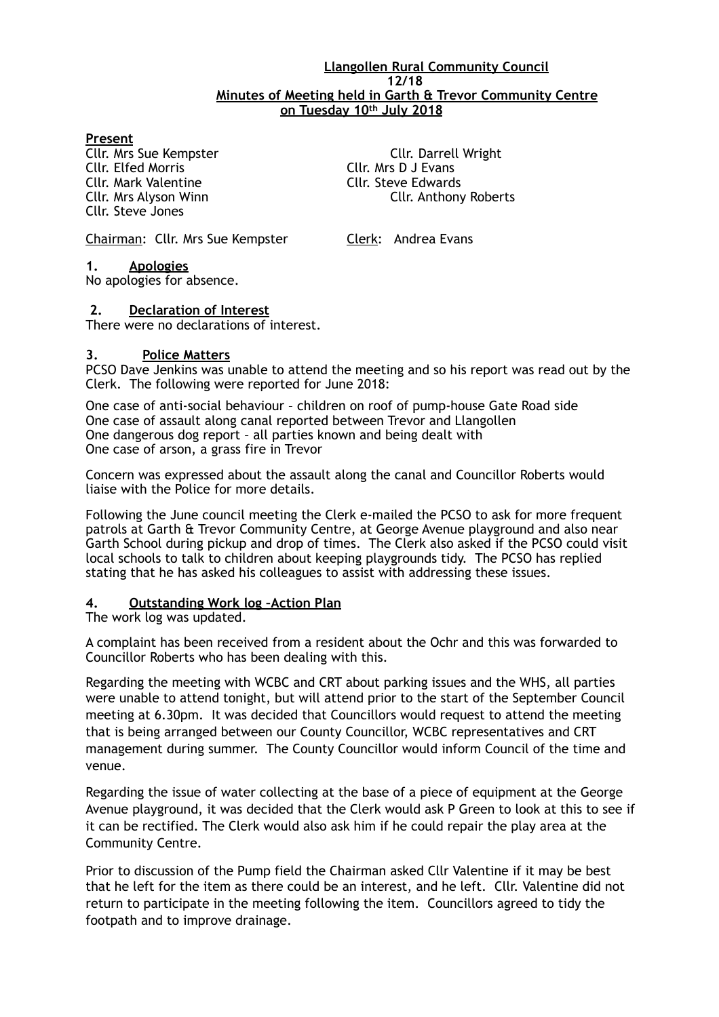#### **Llangollen Rural Community Council 12/18 Minutes of Meeting held in Garth & Trevor Community Centre on Tuesday 10th July 2018**

#### **Present**

Cllr. Mark Valentine Cllr. Steve Edwards Cllr. Steve Jones

**Cllr. Mrs Sue Kempster Cllr. Darrell Wright**<br>Cllr. Elfed Morris Cllr. Cllr. Mrs D J Evans Cllr. Mrs D J Evans Cllr. Mrs Alyson Winn Cllr. Anthony Roberts

Chairman: Cllr. Mrs Sue Kempster Clerk: Andrea Evans

**1. Apologies** 

No apologies for absence.

#### **2. Declaration of Interest**

There were no declarations of interest.

#### **3. Police Matters**

PCSO Dave Jenkins was unable to attend the meeting and so his report was read out by the Clerk. The following were reported for June 2018:

One case of anti-social behaviour – children on roof of pump-house Gate Road side One case of assault along canal reported between Trevor and Llangollen One dangerous dog report – all parties known and being dealt with One case of arson, a grass fire in Trevor

Concern was expressed about the assault along the canal and Councillor Roberts would liaise with the Police for more details.

Following the June council meeting the Clerk e-mailed the PCSO to ask for more frequent patrols at Garth & Trevor Community Centre, at George Avenue playground and also near Garth School during pickup and drop of times. The Clerk also asked if the PCSO could visit local schools to talk to children about keeping playgrounds tidy. The PCSO has replied stating that he has asked his colleagues to assist with addressing these issues.

#### **4. Outstanding Work log –Action Plan**

The work log was updated.

A complaint has been received from a resident about the Ochr and this was forwarded to Councillor Roberts who has been dealing with this.

Regarding the meeting with WCBC and CRT about parking issues and the WHS, all parties were unable to attend tonight, but will attend prior to the start of the September Council meeting at 6.30pm. It was decided that Councillors would request to attend the meeting that is being arranged between our County Councillor, WCBC representatives and CRT management during summer. The County Councillor would inform Council of the time and venue.

Regarding the issue of water collecting at the base of a piece of equipment at the George Avenue playground, it was decided that the Clerk would ask P Green to look at this to see if it can be rectified. The Clerk would also ask him if he could repair the play area at the Community Centre.

Prior to discussion of the Pump field the Chairman asked Cllr Valentine if it may be best that he left for the item as there could be an interest, and he left. Cllr. Valentine did not return to participate in the meeting following the item. Councillors agreed to tidy the footpath and to improve drainage.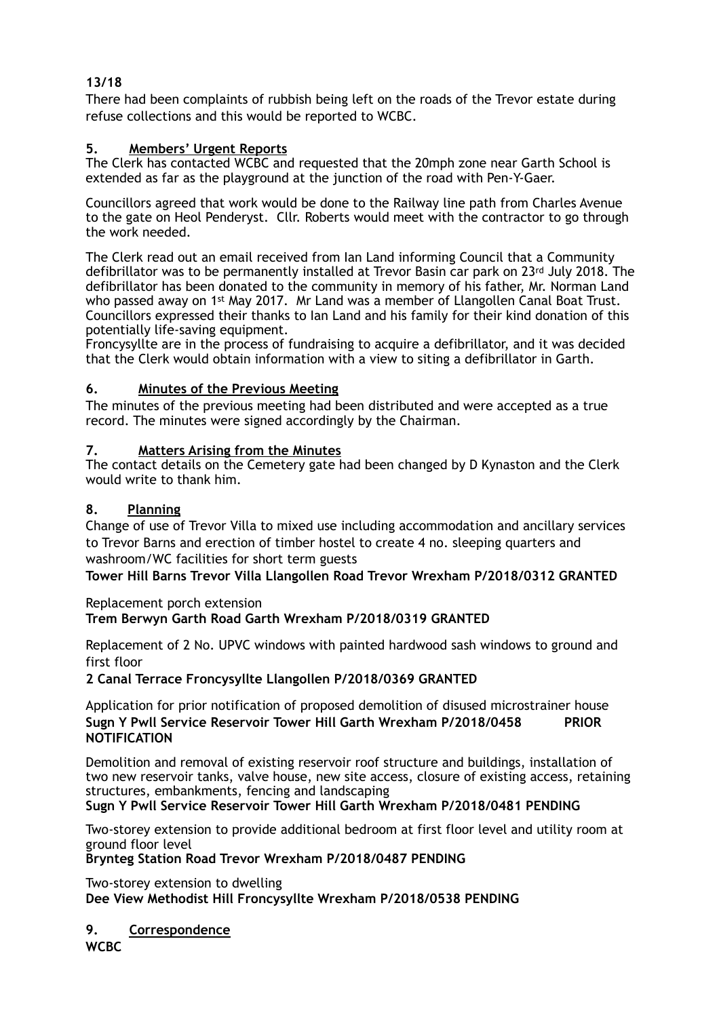## **13/18**

There had been complaints of rubbish being left on the roads of the Trevor estate during refuse collections and this would be reported to WCBC.

### **5. Members' Urgent Reports**

The Clerk has contacted WCBC and requested that the 20mph zone near Garth School is extended as far as the playground at the junction of the road with Pen-Y-Gaer.

Councillors agreed that work would be done to the Railway line path from Charles Avenue to the gate on Heol Penderyst. Cllr. Roberts would meet with the contractor to go through the work needed.

The Clerk read out an email received from Ian Land informing Council that a Community defibrillator was to be permanently installed at Trevor Basin car park on 23rd July 2018. The defibrillator has been donated to the community in memory of his father, Mr. Norman Land who passed away on 1<sup>st</sup> May 2017. Mr Land was a member of Llangollen Canal Boat Trust. Councillors expressed their thanks to Ian Land and his family for their kind donation of this potentially life-saving equipment.

Froncysyllte are in the process of fundraising to acquire a defibrillator, and it was decided that the Clerk would obtain information with a view to siting a defibrillator in Garth.

### **6. Minutes of the Previous Meeting**

The minutes of the previous meeting had been distributed and were accepted as a true record. The minutes were signed accordingly by the Chairman.

### **7. Matters Arising from the Minutes**

The contact details on the Cemetery gate had been changed by D Kynaston and the Clerk would write to thank him.

### **8. Planning**

Change of use of Trevor Villa to mixed use including accommodation and ancillary services to Trevor Barns and erection of timber hostel to create 4 no. sleeping quarters and washroom/WC facilities for short term guests

**Tower Hill Barns Trevor Villa Llangollen Road Trevor Wrexham P/2018/0312 GRANTED** 

#### Replacement porch extension **Trem Berwyn Garth Road Garth Wrexham P/2018/0319 GRANTED**

Replacement of 2 No. UPVC windows with painted hardwood sash windows to ground and first floor

**2 Canal Terrace Froncysyllte Llangollen P/2018/0369 GRANTED** 

Application for prior notification of proposed demolition of disused microstrainer house **Sugn Y Pwll Service Reservoir Tower Hill Garth Wrexham P/2018/0458 PRIOR NOTIFICATION**

Demolition and removal of existing reservoir roof structure and buildings, installation of two new reservoir tanks, valve house, new site access, closure of existing access, retaining structures, embankments, fencing and landscaping

### **Sugn Y Pwll Service Reservoir Tower Hill Garth Wrexham P/2018/0481 PENDING**

Two-storey extension to provide additional bedroom at first floor level and utility room at ground floor level

#### **Brynteg Station Road Trevor Wrexham P/2018/0487 PENDING**

Two-storey extension to dwelling

#### **Dee View Methodist Hill Froncysyllte Wrexham P/2018/0538 PENDING**

### **9. Correspondence**

**WCBC**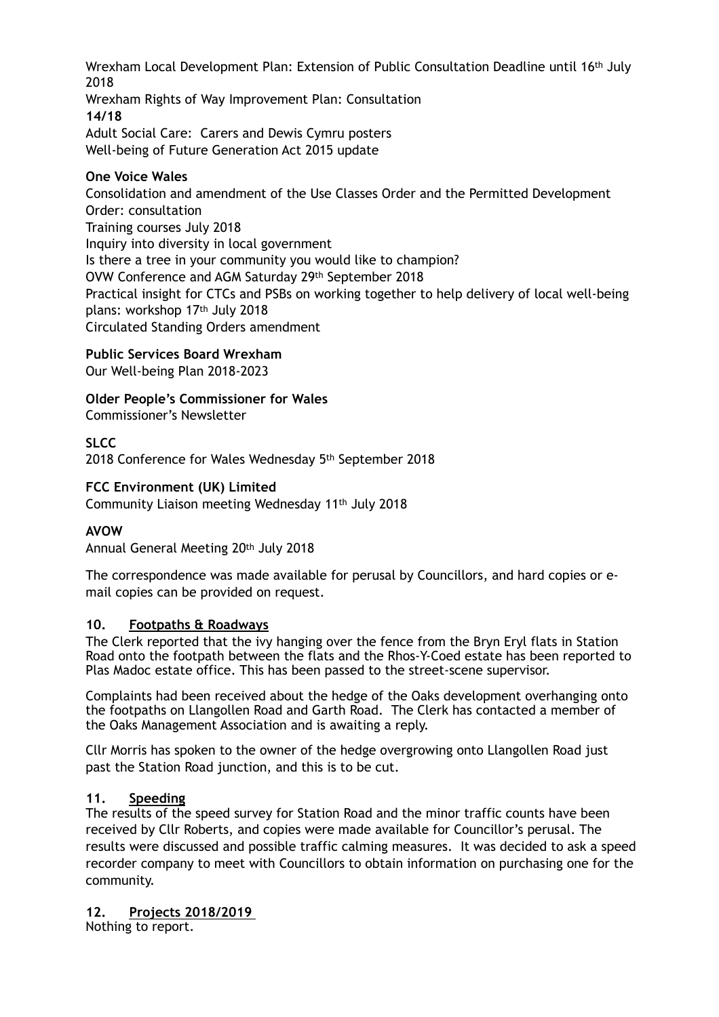Wrexham Local Development Plan: Extension of Public Consultation Deadline until 16th July 2018

Wrexham Rights of Way Improvement Plan: Consultation **14/18** Adult Social Care: Carers and Dewis Cymru posters Well-being of Future Generation Act 2015 update

### **One Voice Wales**

Consolidation and amendment of the Use Classes Order and the Permitted Development Order: consultation Training courses July 2018 Inquiry into diversity in local government Is there a tree in your community you would like to champion? OVW Conference and AGM Saturday 29th September 2018 Practical insight for CTCs and PSBs on working together to help delivery of local well-being plans: workshop 17th July 2018 Circulated Standing Orders amendment

**Public Services Board Wrexham** 

Our Well-being Plan 2018-2023

**Older People's Commissioner for Wales**  Commissioner's Newsletter

**SLCC**  2018 Conference for Wales Wednesday 5th September 2018

### **FCC Environment (UK) Limited**

Community Liaison meeting Wednesday 11th July 2018

## **AVOW**

Annual General Meeting 20th July 2018

The correspondence was made available for perusal by Councillors, and hard copies or email copies can be provided on request.

### **10. Footpaths & Roadways**

The Clerk reported that the ivy hanging over the fence from the Bryn Eryl flats in Station Road onto the footpath between the flats and the Rhos-Y-Coed estate has been reported to Plas Madoc estate office. This has been passed to the street-scene supervisor.

Complaints had been received about the hedge of the Oaks development overhanging onto the footpaths on Llangollen Road and Garth Road. The Clerk has contacted a member of the Oaks Management Association and is awaiting a reply.

Cllr Morris has spoken to the owner of the hedge overgrowing onto Llangollen Road just past the Station Road junction, and this is to be cut.

### **11. Speeding**

The results of the speed survey for Station Road and the minor traffic counts have been received by Cllr Roberts, and copies were made available for Councillor's perusal. The results were discussed and possible traffic calming measures. It was decided to ask a speed recorder company to meet with Councillors to obtain information on purchasing one for the community.

**12. Projects 2018/2019**

Nothing to report.